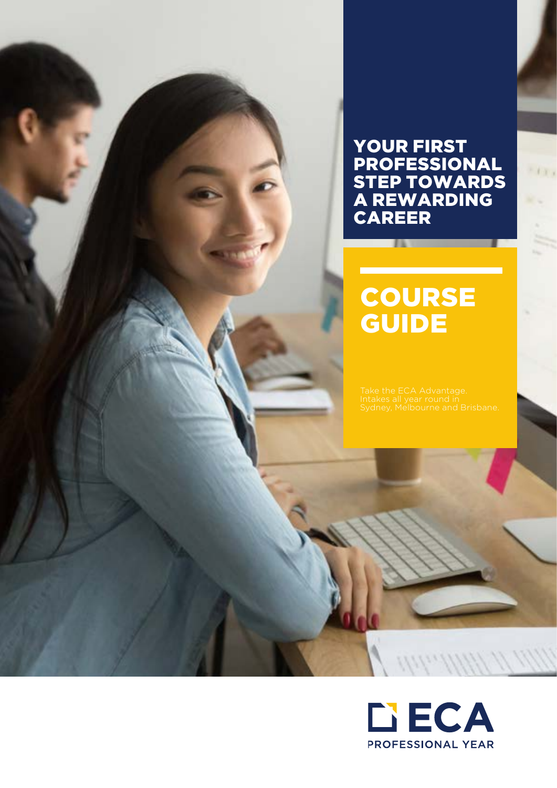## YOUR FIRST PROFESSIONAL STEP TOWARDS A REWARDING CAREER

## **COURSE GUIDE**

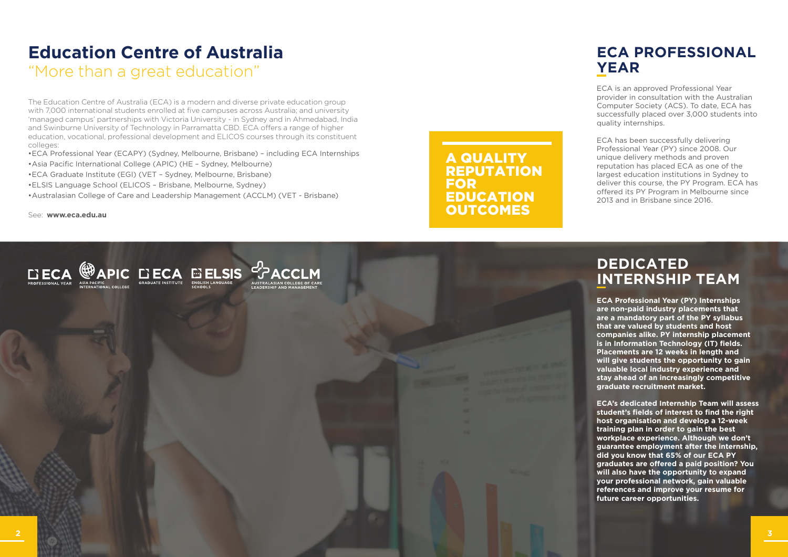## **ECA PROFESSIONAL YEAR**

ECA is an approved Professional Year provider in consultation with the Australian Computer Society (ACS). To date, ECA has successfully placed over 3,000 students into quality internships.

ECA has been successfully delivering Professional Year (PY) since 2008. Our unique delivery methods and proven reputation has placed ECA as one of the largest education institutions in Sydney to deliver this course, the PY Program. ECA has offered its PY Program in Melbourne since 2013 and in Brisbane since 2016.

## **DEDICATED INTERNSHIP TEAM**

**ECA Professional Year (PY) Internships are non-paid industry placements that are a mandatory part of the PY syllabus that are valued by students and host companies alike. PY internship placement is in Information Technology (IT) fields. Placements are 12 weeks in length and will give students the opportunity to gain valuable local industry experience and stay ahead of an increasingly competitive graduate recruitment market.**

A QUALITY REPUTATION FOR EDUCATION **OUTCOMES** 

> **ECA's dedicated Internship Team will assess student's fields of interest to find the right host organisation and develop a 12-week training plan in order to gain the best workplace experience. Although we don't guarantee employment after the internship, did you know that 65% of our ECA PY graduates are offered a paid position? You will also have the opportunity to expand your professional network, gain valuable references and improve your resume for future career opportunities.**

# **Education Centre of Australia**

"More than a great education"

The Education Centre of Australia (ECA) is a modern and diverse private education group with 7,000 international students enrolled at five campuses across Australia; and university 'managed campus' partnerships with Victoria University - in Sydney and in Ahmedabad, India and Swinburne University of Technology in Parramatta CBD. ECA offers a range of higher education, vocational, professional development and ELICOS courses through its constituent colleges:

- •ECA Professional Year (ECAPY) (Sydney, Melbourne, Brisbane) including ECA Internships
- •Asia Pacific International College (APIC) (HE Sydney, Melbourne)
- •ECA Graduate Institute (EGI) (VET Sydney, Melbourne, Brisbane)
- •ELSIS Language School (ELICOS Brisbane, Melbourne, Sydney)
- •Australasian College of Care and Leadership Management (ACCLM) (VET Brisbane)

See: **www.eca.edu.au**

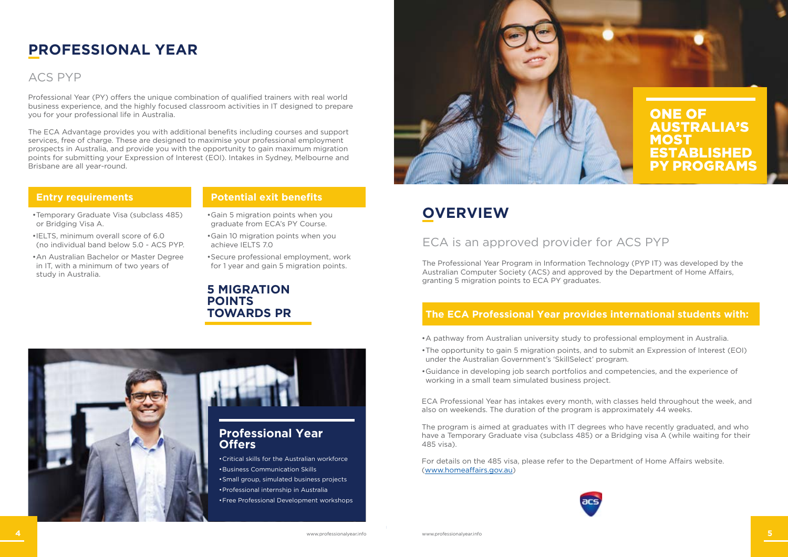## **Entry requirements**

- •Temporary Graduate Visa (subclass 485) or Bridging Visa A.
- •IELTS, minimum overall score of 6.0 (no individual band below 5.0 - ACS PYP.
- •An Australian Bachelor or Master Degree in IT, with a minimum of two years of study in Australia.

## **PROFESSIONAL YEAR**

Professional Year (PY) offers the unique combination of qualified trainers with real world business experience, and the highly focused classroom activities in IT designed to prepare you for your professional life in Australia.

The ECA Advantage provides you with additional benefits including courses and support services, free of charge. These are designed to maximise your professional employment prospects in Australia, and provide you with the opportunity to gain maximum migration points for submitting your Expression of Interest (EOI). Intakes in Sydney, Melbourne and Brisbane are all year-round.

## **Potential exit benefits**

•Gain 5 migration points when you graduate from ECA's PY Course.

- •Gain 10 migration points when you achieve IELTS 7.0
- •Secure professional employment, work for 1 year and gain 5 migration points.

## **OVERVIEW**

## **The ECA Professional Year provides international students with:**



## ACS PYP

## ECA is an approved provider for ACS PYP

- •A pathway from Australian university study to professional employment in Australia.
- •The opportunity to gain 5 migration points, and to submit an Expression of Interest (EOI) under the Australian Government's 'SkillSelect' program.
- •Guidance in developing job search portfolios and competencies, and the experience of working in a small team simulated business project.

ECA Professional Year has intakes every month, with classes held throughout the week, and also on weekends. The duration of the program is approximately 44 weeks.

The program is aimed at graduates with IT degrees who have recently graduated, and who have a Temporary Graduate visa (subclass 485) or a Bridging visa A (while waiting for their 485 visa).

For details on the 485 visa, please refer to the Department of Home Affairs website. [\(www.homeaffairs.gov.au\)](http://www.homeaffairs.gov.au)





## **5 MIGRATION POINTS TOWARDS PR**

The Professional Year Program in Information Technology (PYP IT) was developed by the Australian Computer Society (ACS) and approved by the Department of Home Affairs, granting 5 migration points to ECA PY graduates.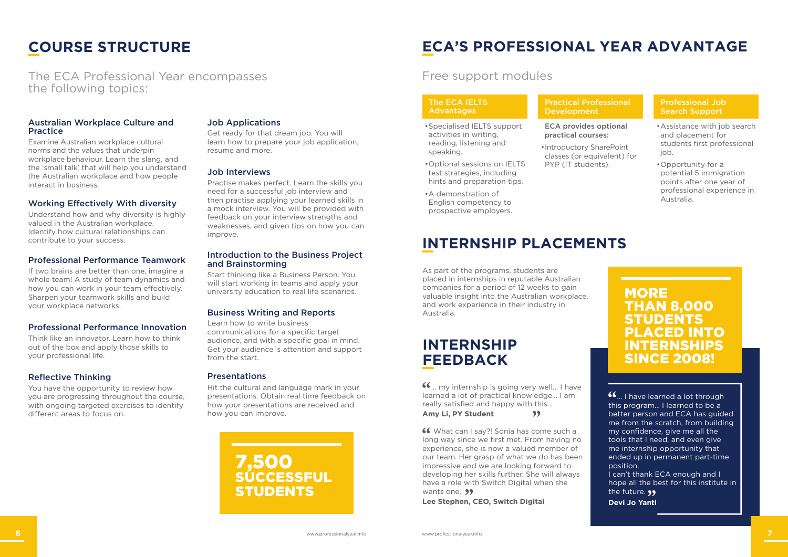## **COURSE STRUCTURE**

#### Australian Workplace Culture and Practice

Examine Australian workplace cultural norms and the values that underpin workplace behaviour. Learn the slang, and the 'small talk' that will help you understand the Australian workplace and how people interact in business.

### Working Effectively With diversity

Understand how and why diversity is highly valued in the Australian workplace. Identify how cultural relationships can contribute to your success.

### Professional Performance Teamwork

If two brains are better than one, imagine a whole team! A study of team dynamics and how you can work in your team effectively. Sharpen your teamwork skills and build your workplace networks.

### Professional Performance Innovation

Think like an innovator. Learn how to think out of the box and apply those skills to your professional life.

### Reflective Thinking

You have the opportunity to review how you are progressing throughout the course, with ongoing targeted exercises to identify different areas to focus on.

### Job Applications

Get ready for that dream job. You will learn how to prepare your job application, resume and more.

> ... my internship is going very well... I have learned a lot of practical knowledge... I am really satisfied and happy with this... **Amy Li, PY Student**  $99$

### Job Interviews

 What can I say?! Sonia has come such a long way since we first met. From having no experience, she is now a valued member of our team. Her grasp of what we do has been impressive and we are looking forward to developing her skills further. She will always have a role with Switch Digital when she wants one. **99** 

Practise makes perfect. Learn the skills you need for a successful job interview and then practise applying your learned skills in a mock interview. You will be provided with feedback on your interview strengths and weaknesses, and given tips on how you can improve.

#### Practical Professional **Development**

#### Introduction to the Business Project and Brainstorming

Start thinking like a Business Person. You will start working in teams and apply your university education to real life scenarios.

### Business Writing and Reports

Learn how to write business communications for a specific target audience, and with a specific goal in mind. Get your audience´s attention and support from the start.

**MORE** THAN 8,000 **TUDENTS** PLACED INTO **ITERNSH** SINCE 2008!

#### Presentations

Hit the cultural and language mark in your presentations. Obtain real time feedback on how your presentations are received and how you can improve.

 $G_{m}$  I have learned a lot through this program… I learned to be a better person and ECA has guided me from the scratch, from building my confidence, give me all the tools that I need, and even give me internship opportunity that ended up in permanent part-time position.

I can't thank ECA enough and I hope all the best for this institute in the future. **99** 

7,500 **SUCCESSFUL STUDENTS** 

The ECA Professional Year encompasses the following topics:

## **ECA'S PROFESSIONAL YEAR ADVANTAGE**

## **INTERNSHIP PLACEMENTS**

As part of the programs, students are placed in internships in reputable Australian companies for a period of 12 weeks to gain valuable insight into the Australian workplace, and work experience in their industry in Australia.

**Lee Stephen, CEO, Switch Digital**

ECA provides optional practical courses:

•Introductory SharePoint classes (or equivalent) for PYP (IT students).

#### Professional Job Search Support

- •Assistance with job search and placement for students first professional job.
- •Opportunity for a potential 5 immigration points after one year of professional experience in Australia.

#### The ECA IELTS Advantages

- •Specialised IELTS support activities in writing, reading, listening and speaking.
- •Optional sessions on IELTS test strategies, including hints and preparation tips.
- •A demonstration of English competency to prospective employers.

## Free support modules

## **INTERNSHIP FEEDBACK**

**Devi Jo Yanti**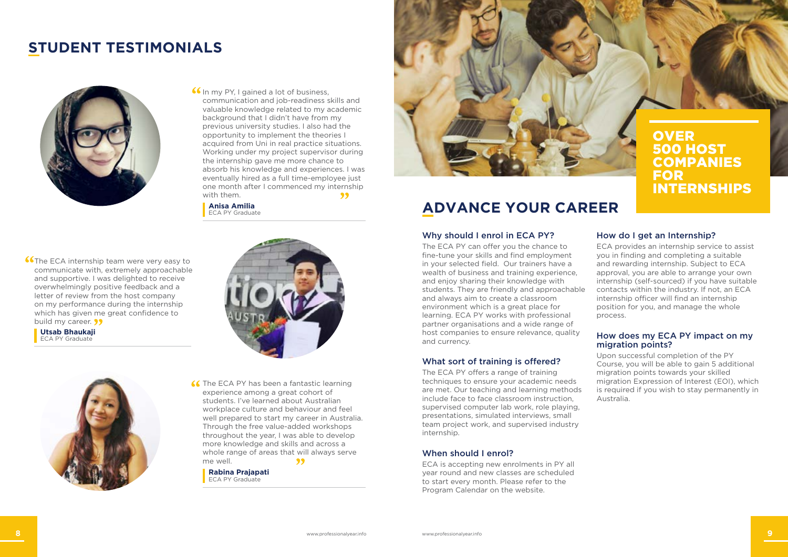## **STUDENT TESTIMONIALS**



**If** In my PY, I gained a lot of business, communication and job-readiness skills and valuable knowledge related to my academic background that I didn't have from my previous university studies. I also had the opportunity to implement the theories I acquired from Uni in real practice situations. Working under my project supervisor during the internship gave me more chance to absorb his knowledge and experiences. I was eventually hired as a full time-employee just one month after I commenced my internship with them. 99

### Why should I enrol in ECA PY?

The ECA PY can offer you the chance to fine-tune your skills and find employment in your selected field. Our trainers have a wealth of business and training experience, and enjoy sharing their knowledge with students. They are friendly and approachable and always aim to create a classroom environment which is a great place for learning. ECA PY works with professional partner organisations and a wide range of host companies to ensure relevance, quality and currency.

### What sort of training is offered?

The ECA PY offers a range of training techniques to ensure your academic needs are met. Our teaching and learning methods include face to face classroom instruction, supervised computer lab work, role playing, presentations, simulated interviews, small team project work, and supervised industry internship.

### When should I enrol?

ECA is accepting new enrolments in PY all year round and new classes are scheduled to start every month. Please refer to the Program Calendar on the website.

### How do I get an Internship?

**OVER** 500 HOST COMPANIES FOR INTERNSHIPS

ECA provides an internship service to assist you in finding and completing a suitable and rewarding internship. Subject to ECA approval, you are able to arrange your own internship (self-sourced) if you have suitable contacts within the industry. If not, an ECA internship officer will find an internship position for you, and manage the whole process.

### How does my ECA PY impact on my migration points?

Upon successful completion of the PY Course, you will be able to gain 5 additional migration points towards your skilled migration Expression of Interest (EOI), which is required if you wish to stay permanently in Australia.

## **ADVANCE YOUR CAREER**

**Anisa Amilia** ECA PY Graduate

**Co**The ECA internship team were very easy to communicate with, extremely approachable and supportive. I was delighted to receive overwhelmingly positive feedback and a letter of review from the host company on my performance during the internship which has given me great confidence to build my career. **99** 

**Utsab Bhaukaji** ECA PY Graduate





**66** The ECA PY has been a fantastic learning experience among a great cohort of students. I've learned about Australian workplace culture and behaviour and feel well prepared to start my career in Australia. Through the free value-added workshops throughout the year, I was able to develop more knowledge and skills and across a whole range of areas that will always serve me well. 99

**Rabina Prajapati** ECA PY Graduate

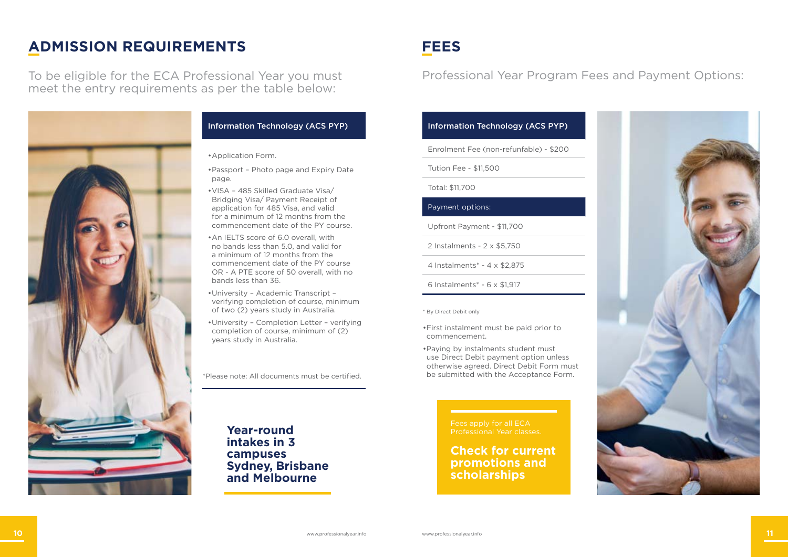## **FEES**

\* By Direct Debit only

## **ADMISSION REQUIREMENTS**

\*Please note: All documents must be certified.

To be eligible for the ECA Professional Year you must meet the entry requirements as per the table below:



- •First instalment must be paid prior to commencement.
- •Paying by instalments student must use Direct Debit payment option unless otherwise agreed. Direct Debit Form must be submitted with the Acceptance Form.

## Professional Year Program Fees and Payment Options:

### Information Technology (ACS PYP)

Enrolment Fee (non-refunfable) - \$200

Tution Fee - \$11,500

Total: \$11,700

#### Payment options:

Upfront Payment - \$11,700

2 Instalments - 2 x \$5,750

4 Instalments\* - 4 x \$2,875

6 Instalments\* - 6 x \$1,917

### Information Technology (ACS PYP)



- •Application Form.
- •Passport Photo page and Expiry Date page.
- •VISA 485 Skilled Graduate Visa/ Bridging Visa/ Payment Receipt of application for 485 Visa, and valid for a minimum of 12 months from the commencement date of the PY course.
- •An IELTS score of 6.0 overall, with no bands less than 5.0, and valid for a minimum of 12 months from the commencement date of the PY course OR - A PTE score of 50 overall, with no bands less than 36.
- •University Academic Transcript verifying completion of course, minimum of two (2) years study in Australia.
- •University Completion Letter verifying completion of course, minimum of (2) years study in Australia.

Professional Year classes.

## **Check for current promotions and scholarships**

**Year-round intakes in 3 campuses Sydney, Brisbane and Melbourne**